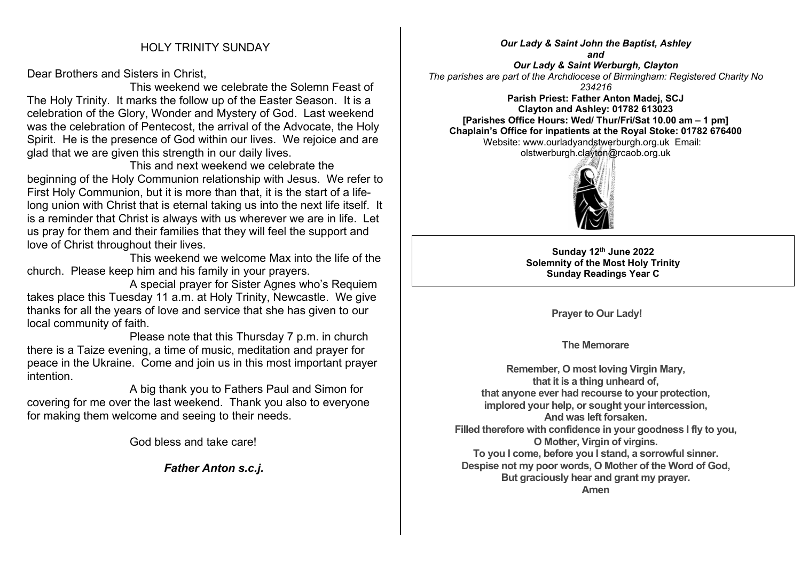Dear Brothers and Sisters in Christ,

 This weekend we celebrate the Solemn Feast of The Holy Trinity. It marks the follow up of the Easter Season. It is a celebration of the Glory, Wonder and Mystery of God. Last weekend was the celebration of Pentecost, the arrival of the Advocate, the Holy Spirit. He is the presence of God within our lives. We rejoice and are glad that we are given this strength in our daily lives.

 This and next weekend we celebrate the beginning of the Holy Communion relationship with Jesus. We refer to First Holy Communion, but it is more than that, it is the start of a lifelong union with Christ that is eternal taking us into the next life itself. It is a reminder that Christ is always with us wherever we are in life. Let us pray for them and their families that they will feel the support and love of Christ throughout their lives.

 This weekend we welcome Max into the life of the church. Please keep him and his family in your prayers.

 A special prayer for Sister Agnes who's Requiem takes place this Tuesday 11 a.m. at Holy Trinity, Newcastle. We give thanks for all the years of love and service that she has given to our local community of faith.

 Please note that this Thursday 7 p.m. in church there is a Taize evening, a time of music, meditation and prayer for peace in the Ukraine. Come and join us in this most important prayer intention.

 A big thank you to Fathers Paul and Simon for covering for me over the last weekend. Thank you also to everyone for making them welcome and seeing to their needs.

God bless and take care!

*Father Anton s.c.j.*

*Our Lady & Saint John the Baptist, Ashley and Our Lady & Saint Werburgh, Clayton The parishes are part of the Archdiocese of Birmingham: Registered Charity No 234216*

**Parish Priest: Father Anton Madej, SCJ Clayton and Ashley: 01782 613023 [Parishes Office Hours: Wed/ Thur/Fri/Sat 10.00 am – 1 pm] Chaplain's Office for inpatients at the Royal Stoke: 01782 676400** Website: www.ourladyandstwerburgh.org.uk Email: olstwerburgh.clayton@rcaob.org.uk



**Sunday 12th June 2022 Solemnity of the Most Holy Trinity Sunday Readings Year C**

**Prayer to Our Lady!**

**The Memorare**

**Remember, O most loving Virgin Mary, that it is a thing unheard of, that anyone ever had recourse to your protection, implored your help, or sought your intercession, And was left forsaken. Filled therefore with confidence in your goodness I fly to you, O Mother, Virgin of virgins. To you I come, before you I stand, a sorrowful sinner. Despise not my poor words, O Mother of the Word of God, But graciously hear and grant my prayer. Amen**